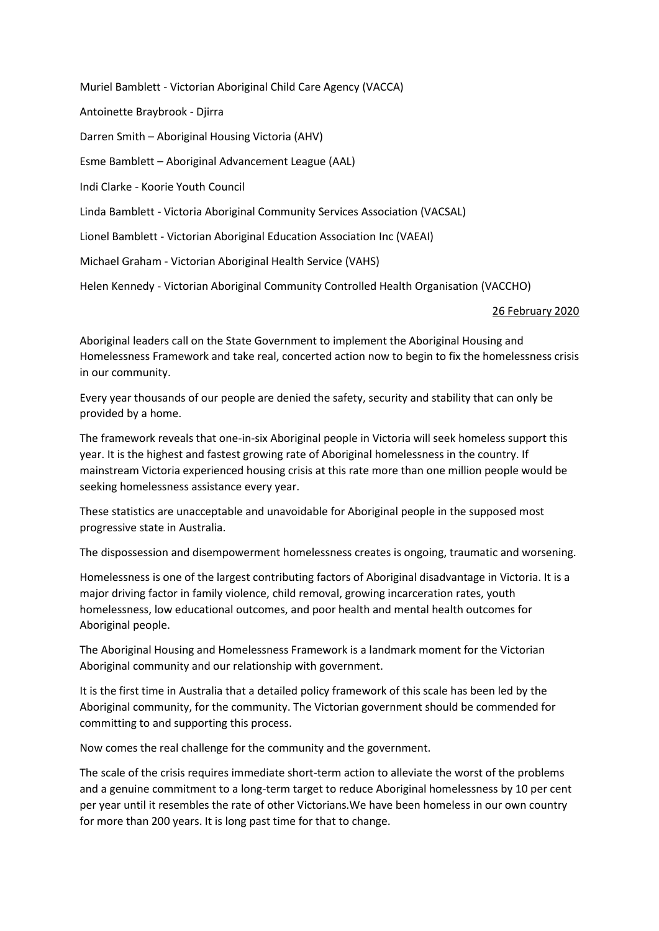Muriel Bamblett - Victorian Aboriginal Child Care Agency (VACCA) Antoinette Braybrook - Djirra Darren Smith – Aboriginal Housing Victoria (AHV) Esme Bamblett – Aboriginal Advancement League (AAL) Indi Clarke - Koorie Youth Council Linda Bamblett - Victoria Aboriginal Community Services Association (VACSAL) Lionel Bamblett - Victorian Aboriginal Education Association Inc (VAEAI) Michael Graham - Victorian Aboriginal Health Service (VAHS) Helen Kennedy - Victorian Aboriginal Community Controlled Health Organisation (VACCHO)

## 26 February 2020

Aboriginal leaders call on the State Government to implement the Aboriginal Housing and Homelessness Framework and take real, concerted action now to begin to fix the homelessness crisis in our community.

Every year thousands of our people are denied the safety, security and stability that can only be provided by a home.

The framework reveals that one-in-six Aboriginal people in Victoria will seek homeless support this year. It is the highest and fastest growing rate of Aboriginal homelessness in the country. If mainstream Victoria experienced housing crisis at this rate more than one million people would be seeking homelessness assistance every year.

These statistics are unacceptable and unavoidable for Aboriginal people in the supposed most progressive state in Australia.

The dispossession and disempowerment homelessness creates is ongoing, traumatic and worsening.

Homelessness is one of the largest contributing factors of Aboriginal disadvantage in Victoria. It is a major driving factor in family violence, child removal, growing incarceration rates, youth homelessness, low educational outcomes, and poor health and mental health outcomes for Aboriginal people.

The Aboriginal Housing and Homelessness Framework is a landmark moment for the Victorian Aboriginal community and our relationship with government.

It is the first time in Australia that a detailed policy framework of this scale has been led by the Aboriginal community, for the community. The Victorian government should be commended for committing to and supporting this process.

Now comes the real challenge for the community and the government.

The scale of the crisis requires immediate short-term action to alleviate the worst of the problems and a genuine commitment to a long-term target to reduce Aboriginal homelessness by 10 per cent per year until it resembles the rate of other Victorians.We have been homeless in our own country for more than 200 years. It is long past time for that to change.